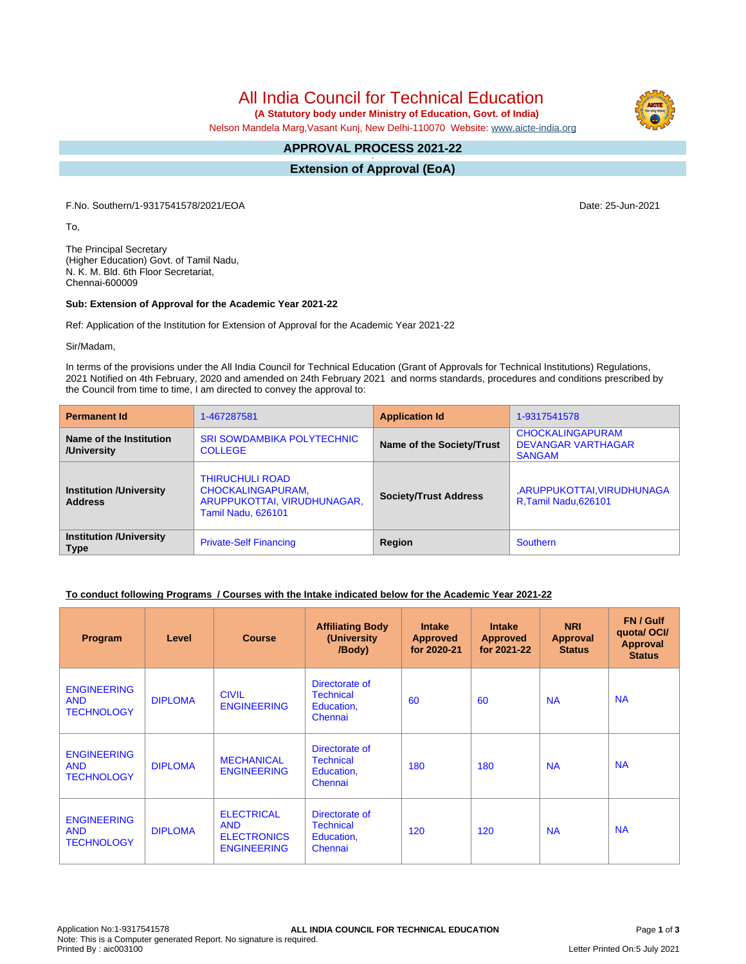# All India Council for Technical Education

 **(A Statutory body under Ministry of Education, Govt. of India)**

Nelson Mandela Marg,Vasant Kunj, New Delhi-110070 Website: [www.aicte-india.org](http://www.aicte-india.org)

#### **APPROVAL PROCESS 2021-22 -**

**Extension of Approval (EoA)**

F.No. Southern/1-9317541578/2021/EOA Date: 25-Jun-2021

To,

The Principal Secretary (Higher Education) Govt. of Tamil Nadu, N. K. M. Bld. 6th Floor Secretariat, Chennai-600009

#### **Sub: Extension of Approval for the Academic Year 2021-22**

Ref: Application of the Institution for Extension of Approval for the Academic Year 2021-22

Sir/Madam,

In terms of the provisions under the All India Council for Technical Education (Grant of Approvals for Technical Institutions) Regulations, 2021 Notified on 4th February, 2020 and amended on 24th February 2021 and norms standards, procedures and conditions prescribed by the Council from time to time, I am directed to convey the approval to:

| <b>Permanent Id</b>                              | 1-467287581                                                                                             | <b>Application Id</b>        | 1-9317541578                                                          |  |
|--------------------------------------------------|---------------------------------------------------------------------------------------------------------|------------------------------|-----------------------------------------------------------------------|--|
| Name of the Institution<br>/University           | <b>SRI SOWDAMBIKA POLYTECHNIC</b><br><b>COLLEGE</b>                                                     | Name of the Society/Trust    | <b>CHOCKALINGAPURAM</b><br><b>DEVANGAR VARTHAGAR</b><br><b>SANGAM</b> |  |
| <b>Institution /University</b><br><b>Address</b> | <b>THIRUCHULI ROAD</b><br>CHOCKALINGAPURAM,<br>ARUPPUKOTTAI, VIRUDHUNAGAR,<br><b>Tamil Nadu, 626101</b> | <b>Society/Trust Address</b> | ,ARUPPUKOTTAI,VIRUDHUNAGA<br>R, Tamil Nadu, 626101                    |  |
| <b>Institution /University</b><br><b>Type</b>    | <b>Private-Self Financing</b>                                                                           | Region                       | <b>Southern</b>                                                       |  |

# **To conduct following Programs / Courses with the Intake indicated below for the Academic Year 2021-22**

| Program                                               | Level          | <b>Course</b>                                                               | <b>Affiliating Body</b><br>(University<br>/Body)            | <b>Intake</b><br><b>Approved</b><br>for 2020-21 | <b>Intake</b><br><b>Approved</b><br>for 2021-22 | <b>NRI</b><br>Approval<br><b>Status</b> | FN / Gulf<br>quota/OCI/<br><b>Approval</b><br><b>Status</b> |
|-------------------------------------------------------|----------------|-----------------------------------------------------------------------------|-------------------------------------------------------------|-------------------------------------------------|-------------------------------------------------|-----------------------------------------|-------------------------------------------------------------|
| <b>ENGINEERING</b><br><b>AND</b><br><b>TECHNOLOGY</b> | <b>DIPLOMA</b> | <b>CIVIL</b><br><b>ENGINEERING</b>                                          | Directorate of<br><b>Technical</b><br>Education,<br>Chennai | 60                                              | 60                                              | <b>NA</b>                               | <b>NA</b>                                                   |
| <b>ENGINEERING</b><br><b>AND</b><br><b>TECHNOLOGY</b> | <b>DIPLOMA</b> | <b>MECHANICAL</b><br><b>ENGINEERING</b>                                     | Directorate of<br><b>Technical</b><br>Education,<br>Chennai | 180                                             | 180                                             | <b>NA</b>                               | <b>NA</b>                                                   |
| <b>ENGINEERING</b><br><b>AND</b><br><b>TECHNOLOGY</b> | <b>DIPLOMA</b> | <b>ELECTRICAL</b><br><b>AND</b><br><b>ELECTRONICS</b><br><b>ENGINEERING</b> | Directorate of<br><b>Technical</b><br>Education,<br>Chennai | 120                                             | 120                                             | <b>NA</b>                               | <b>NA</b>                                                   |

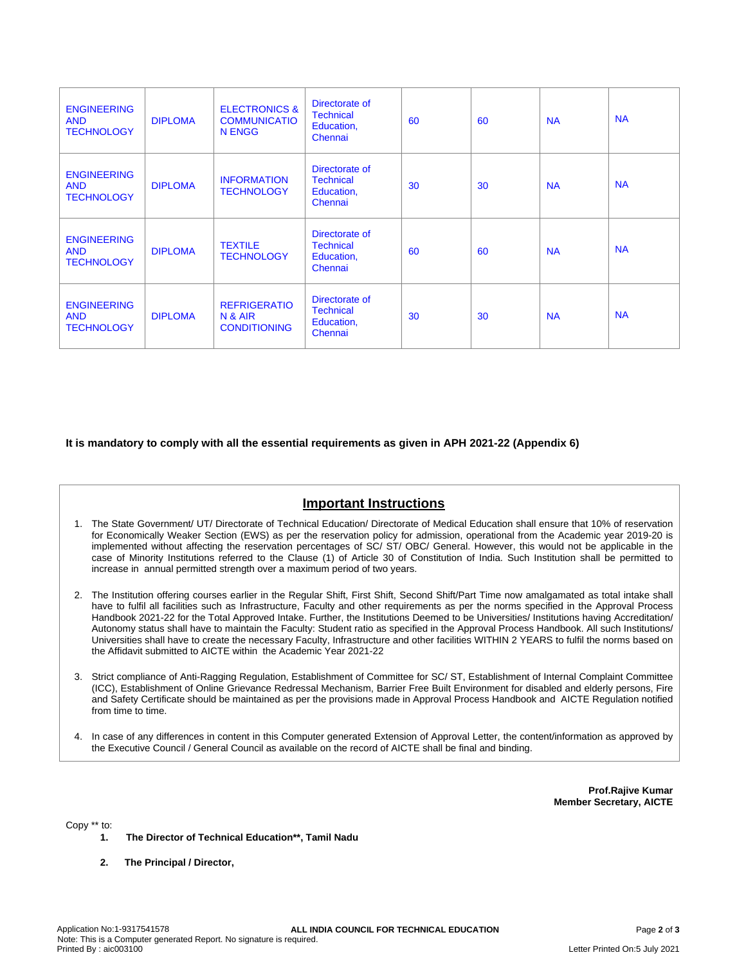| <b>ENGINEERING</b><br><b>AND</b><br><b>TECHNOLOGY</b> | <b>DIPLOMA</b> | <b>ELECTRONICS &amp;</b><br><b>COMMUNICATIO</b><br>N ENGG | Directorate of<br><b>Technical</b><br>Education,<br>Chennai | 60 | 60 | <b>NA</b> | <b>NA</b> |
|-------------------------------------------------------|----------------|-----------------------------------------------------------|-------------------------------------------------------------|----|----|-----------|-----------|
| <b>ENGINEERING</b><br><b>AND</b><br><b>TECHNOLOGY</b> | <b>DIPLOMA</b> | <b>INFORMATION</b><br><b>TECHNOLOGY</b>                   | Directorate of<br><b>Technical</b><br>Education,<br>Chennai | 30 | 30 | <b>NA</b> | <b>NA</b> |
| <b>ENGINEERING</b><br><b>AND</b><br><b>TECHNOLOGY</b> | <b>DIPLOMA</b> | <b>TEXTILE</b><br><b>TECHNOLOGY</b>                       | Directorate of<br><b>Technical</b><br>Education,<br>Chennai | 60 | 60 | <b>NA</b> | <b>NA</b> |
| <b>ENGINEERING</b><br><b>AND</b><br><b>TECHNOLOGY</b> | <b>DIPLOMA</b> | <b>REFRIGERATIO</b><br>N & AIR<br><b>CONDITIONING</b>     | Directorate of<br><b>Technical</b><br>Education,<br>Chennai | 30 | 30 | <b>NA</b> | <b>NA</b> |

# **It is mandatory to comply with all the essential requirements as given in APH 2021-22 (Appendix 6)**

# **Important Instructions**

- 1. The State Government/ UT/ Directorate of Technical Education/ Directorate of Medical Education shall ensure that 10% of reservation for Economically Weaker Section (EWS) as per the reservation policy for admission, operational from the Academic year 2019-20 is implemented without affecting the reservation percentages of SC/ ST/ OBC/ General. However, this would not be applicable in the case of Minority Institutions referred to the Clause (1) of Article 30 of Constitution of India. Such Institution shall be permitted to increase in annual permitted strength over a maximum period of two years.
- 2. The Institution offering courses earlier in the Regular Shift, First Shift, Second Shift/Part Time now amalgamated as total intake shall have to fulfil all facilities such as Infrastructure, Faculty and other requirements as per the norms specified in the Approval Process Handbook 2021-22 for the Total Approved Intake. Further, the Institutions Deemed to be Universities/ Institutions having Accreditation/ Autonomy status shall have to maintain the Faculty: Student ratio as specified in the Approval Process Handbook. All such Institutions/ Universities shall have to create the necessary Faculty, Infrastructure and other facilities WITHIN 2 YEARS to fulfil the norms based on the Affidavit submitted to AICTE within the Academic Year 2021-22
- 3. Strict compliance of Anti-Ragging Regulation, Establishment of Committee for SC/ ST, Establishment of Internal Complaint Committee (ICC), Establishment of Online Grievance Redressal Mechanism, Barrier Free Built Environment for disabled and elderly persons, Fire and Safety Certificate should be maintained as per the provisions made in Approval Process Handbook and AICTE Regulation notified from time to time.
- 4. In case of any differences in content in this Computer generated Extension of Approval Letter, the content/information as approved by the Executive Council / General Council as available on the record of AICTE shall be final and binding.

**Prof.Rajive Kumar Member Secretary, AICTE**

Copy \*\* to:

- **1. The Director of Technical Education\*\*, Tamil Nadu**
- **2. The Principal / Director,**